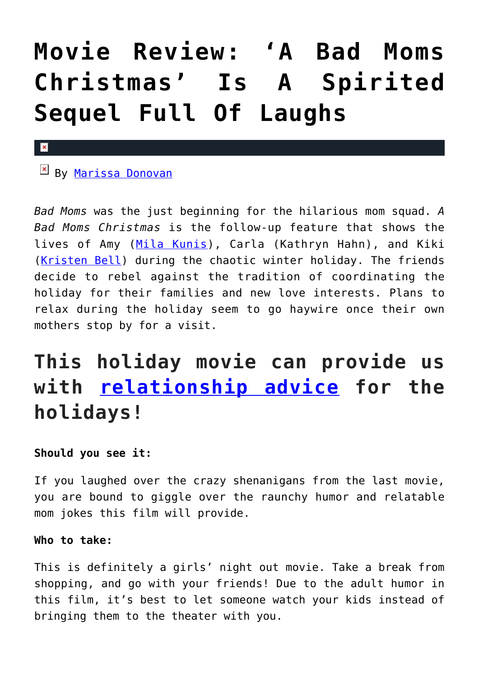# **[Movie Review: 'A Bad Moms](https://cupidspulse.com/119879/movie-review-a-bad-moms-christmas/) [Christmas' Is A Spirited](https://cupidspulse.com/119879/movie-review-a-bad-moms-christmas/) [Sequel Full Of Laughs](https://cupidspulse.com/119879/movie-review-a-bad-moms-christmas/)**

#### $\mathbf x$

 $\mathbb{E}$  By [Marissa Donovan](http://cupidspulse.com/118743/marissa-donovan/)

*Bad Moms* was the just beginning for the hilarious mom squad. *A Bad Moms Christmas* is the follow-up feature that shows the lives of Amy ([Mila Kunis\)](http://cupidspulse.com/93035/mila-kunis/), Carla (Kathryn Hahn), and Kiki ([Kristen Bell\)](http://cupidspulse.com/94261/kristen-bell/) during the chaotic winter holiday. The friends decide to rebel against the tradition of coordinating the holiday for their families and new love interests. Plans to relax during the holiday seem to go haywire once their own mothers stop by for a visit.

## **This holiday movie can provide us with [relationship advice](http://cupidspulse.com/relationship-experts/) for the holidays!**

### **Should you see it:**

If you laughed over the crazy shenanigans from the last movie, you are bound to giggle over the raunchy humor and relatable mom jokes this film will provide.

#### **Who to take:**

This is definitely a girls' night out movie. Take a break from shopping, and go with your friends! Due to the adult humor in this film, it's best to let someone watch your kids instead of bringing them to the theater with you.